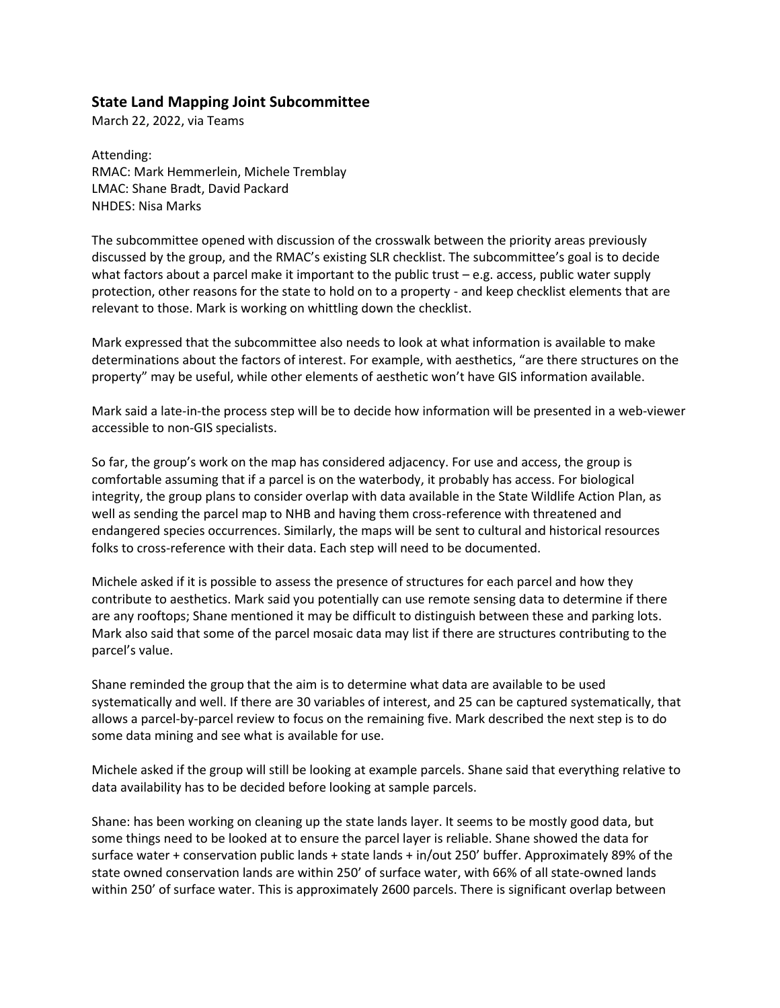## **State Land Mapping Joint Subcommittee**

March 22, 2022, via Teams

Attending: RMAC: Mark Hemmerlein, Michele Tremblay LMAC: Shane Bradt, David Packard NHDES: Nisa Marks

The subcommittee opened with discussion of the crosswalk between the priority areas previously discussed by the group, and the RMAC's existing SLR checklist. The subcommittee's goal is to decide what factors about a parcel make it important to the public trust – e.g. access, public water supply protection, other reasons for the state to hold on to a property - and keep checklist elements that are relevant to those. Mark is working on whittling down the checklist.

Mark expressed that the subcommittee also needs to look at what information is available to make determinations about the factors of interest. For example, with aesthetics, "are there structures on the property" may be useful, while other elements of aesthetic won't have GIS information available.

Mark said a late-in-the process step will be to decide how information will be presented in a web-viewer accessible to non-GIS specialists.

So far, the group's work on the map has considered adjacency. For use and access, the group is comfortable assuming that if a parcel is on the waterbody, it probably has access. For biological integrity, the group plans to consider overlap with data available in the State Wildlife Action Plan, as well as sending the parcel map to NHB and having them cross-reference with threatened and endangered species occurrences. Similarly, the maps will be sent to cultural and historical resources folks to cross-reference with their data. Each step will need to be documented.

Michele asked if it is possible to assess the presence of structures for each parcel and how they contribute to aesthetics. Mark said you potentially can use remote sensing data to determine if there are any rooftops; Shane mentioned it may be difficult to distinguish between these and parking lots. Mark also said that some of the parcel mosaic data may list if there are structures contributing to the parcel's value.

Shane reminded the group that the aim is to determine what data are available to be used systematically and well. If there are 30 variables of interest, and 25 can be captured systematically, that allows a parcel-by-parcel review to focus on the remaining five. Mark described the next step is to do some data mining and see what is available for use.

Michele asked if the group will still be looking at example parcels. Shane said that everything relative to data availability has to be decided before looking at sample parcels.

Shane: has been working on cleaning up the state lands layer. It seems to be mostly good data, but some things need to be looked at to ensure the parcel layer is reliable. Shane showed the data for surface water + conservation public lands + state lands + in/out 250' buffer. Approximately 89% of the state owned conservation lands are within 250' of surface water, with 66% of all state-owned lands within 250' of surface water. This is approximately 2600 parcels. There is significant overlap between